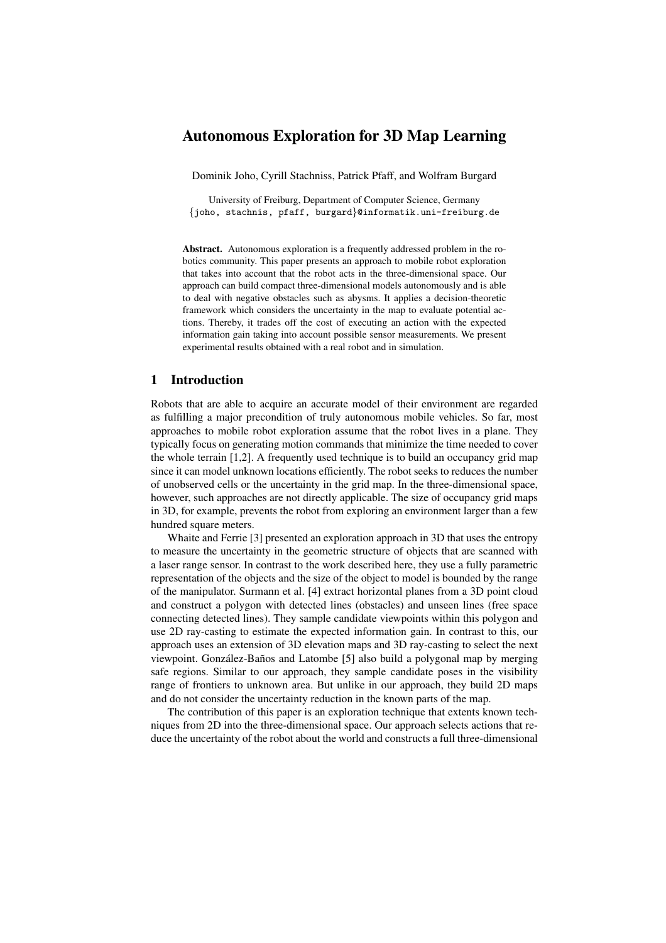# Autonomous Exploration for 3D Map Learning

Dominik Joho, Cyrill Stachniss, Patrick Pfaff, and Wolfram Burgard

University of Freiburg, Department of Computer Science, Germany {joho, stachnis, pfaff, burgard}@informatik.uni-freiburg.de

Abstract. Autonomous exploration is a frequently addressed problem in the robotics community. This paper presents an approach to mobile robot exploration that takes into account that the robot acts in the three-dimensional space. Our approach can build compact three-dimensional models autonomously and is able to deal with negative obstacles such as abysms. It applies a decision-theoretic framework which considers the uncertainty in the map to evaluate potential actions. Thereby, it trades off the cost of executing an action with the expected information gain taking into account possible sensor measurements. We present experimental results obtained with a real robot and in simulation.

### 1 Introduction

Robots that are able to acquire an accurate model of their environment are regarded as fulfilling a major precondition of truly autonomous mobile vehicles. So far, most approaches to mobile robot exploration assume that the robot lives in a plane. They typically focus on generating motion commands that minimize the time needed to cover the whole terrain [1,2]. A frequently used technique is to build an occupancy grid map since it can model unknown locations efficiently. The robot seeks to reduces the number of unobserved cells or the uncertainty in the grid map. In the three-dimensional space, however, such approaches are not directly applicable. The size of occupancy grid maps in 3D, for example, prevents the robot from exploring an environment larger than a few hundred square meters.

Whaite and Ferrie [3] presented an exploration approach in 3D that uses the entropy to measure the uncertainty in the geometric structure of objects that are scanned with a laser range sensor. In contrast to the work described here, they use a fully parametric representation of the objects and the size of the object to model is bounded by the range of the manipulator. Surmann et al. [4] extract horizontal planes from a 3D point cloud and construct a polygon with detected lines (obstacles) and unseen lines (free space connecting detected lines). They sample candidate viewpoints within this polygon and use 2D ray-casting to estimate the expected information gain. In contrast to this, our approach uses an extension of 3D elevation maps and 3D ray-casting to select the next viewpoint. González-Baños and Latombe [5] also build a polygonal map by merging safe regions. Similar to our approach, they sample candidate poses in the visibility range of frontiers to unknown area. But unlike in our approach, they build 2D maps and do not consider the uncertainty reduction in the known parts of the map.

The contribution of this paper is an exploration technique that extents known techniques from 2D into the three-dimensional space. Our approach selects actions that reduce the uncertainty of the robot about the world and constructs a full three-dimensional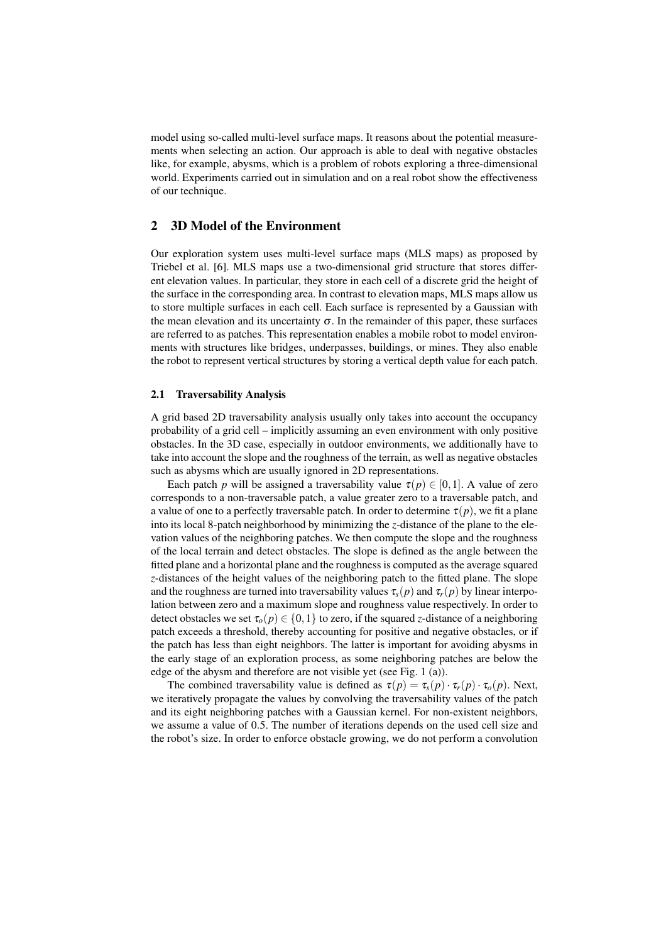model using so-called multi-level surface maps. It reasons about the potential measurements when selecting an action. Our approach is able to deal with negative obstacles like, for example, abysms, which is a problem of robots exploring a three-dimensional world. Experiments carried out in simulation and on a real robot show the effectiveness of our technique.

### 2 3D Model of the Environment

Our exploration system uses multi-level surface maps (MLS maps) as proposed by Triebel et al. [6]. MLS maps use a two-dimensional grid structure that stores different elevation values. In particular, they store in each cell of a discrete grid the height of the surface in the corresponding area. In contrast to elevation maps, MLS maps allow us to store multiple surfaces in each cell. Each surface is represented by a Gaussian with the mean elevation and its uncertainty  $\sigma$ . In the remainder of this paper, these surfaces are referred to as patches. This representation enables a mobile robot to model environments with structures like bridges, underpasses, buildings, or mines. They also enable the robot to represent vertical structures by storing a vertical depth value for each patch.

#### 2.1 Traversability Analysis

A grid based 2D traversability analysis usually only takes into account the occupancy probability of a grid cell – implicitly assuming an even environment with only positive obstacles. In the 3D case, especially in outdoor environments, we additionally have to take into account the slope and the roughness of the terrain, as well as negative obstacles such as abysms which are usually ignored in 2D representations.

Each patch *p* will be assigned a traversability value  $\tau(p) \in [0,1]$ . A value of zero corresponds to a non-traversable patch, a value greater zero to a traversable patch, and a value of one to a perfectly traversable patch. In order to determine  $\tau(p)$ , we fit a plane into its local 8-patch neighborhood by minimizing the *z*-distance of the plane to the elevation values of the neighboring patches. We then compute the slope and the roughness of the local terrain and detect obstacles. The slope is defined as the angle between the fitted plane and a horizontal plane and the roughness is computed as the average squared *z*-distances of the height values of the neighboring patch to the fitted plane. The slope and the roughness are turned into traversability values  $\tau_s(p)$  and  $\tau_r(p)$  by linear interpolation between zero and a maximum slope and roughness value respectively. In order to detect obstacles we set  $\tau_o(p) \in \{0,1\}$  to zero, if the squared *z*-distance of a neighboring patch exceeds a threshold, thereby accounting for positive and negative obstacles, or if the patch has less than eight neighbors. The latter is important for avoiding abysms in the early stage of an exploration process, as some neighboring patches are below the edge of the abysm and therefore are not visible yet (see Fig. 1 (a)).

The combined traversability value is defined as  $\tau(p) = \tau_s(p) \cdot \tau_r(p) \cdot \tau_o(p)$ . Next, we iteratively propagate the values by convolving the traversability values of the patch and its eight neighboring patches with a Gaussian kernel. For non-existent neighbors, we assume a value of 0.5. The number of iterations depends on the used cell size and the robot's size. In order to enforce obstacle growing, we do not perform a convolution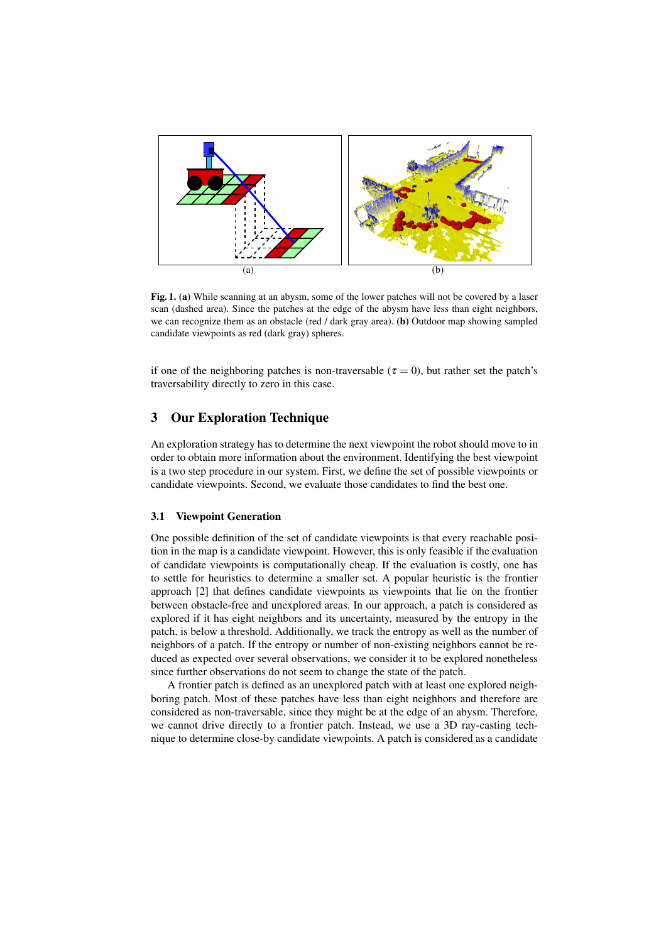

Fig. 1. (a) While scanning at an abysm, some of the lower patches will not be covered by a laser scan (dashed area). Since the patches at the edge of the abysm have less than eight neighbors, we can recognize them as an obstacle (red / dark gray area). (b) Outdoor map showing sampled candidate viewpoints as red (dark gray) spheres.

if one of the neighboring patches is non-traversable ( $\tau = 0$ ), but rather set the patch's traversability directly to zero in this case.

### 3 Our Exploration Technique

An exploration strategy has to determine the next viewpoint the robot should move to in order to obtain more information about the environment. Identifying the best viewpoint is a two step procedure in our system. First, we define the set of possible viewpoints or candidate viewpoints. Second, we evaluate those candidates to find the best one.

#### 3.1 Viewpoint Generation

One possible definition of the set of candidate viewpoints is that every reachable position in the map is a candidate viewpoint. However, this is only feasible if the evaluation of candidate viewpoints is computationally cheap. If the evaluation is costly, one has to settle for heuristics to determine a smaller set. A popular heuristic is the frontier approach [2] that defines candidate viewpoints as viewpoints that lie on the frontier between obstacle-free and unexplored areas. In our approach, a patch is considered as explored if it has eight neighbors and its uncertainty, measured by the entropy in the patch, is below a threshold. Additionally, we track the entropy as well as the number of neighbors of a patch. If the entropy or number of non-existing neighbors cannot be reduced as expected over several observations, we consider it to be explored nonetheless since further observations do not seem to change the state of the patch.

A frontier patch is defined as an unexplored patch with at least one explored neighboring patch. Most of these patches have less than eight neighbors and therefore are considered as non-traversable, since they might be at the edge of an abysm. Therefore, we cannot drive directly to a frontier patch. Instead, we use a 3D ray-casting technique to determine close-by candidate viewpoints. A patch is considered as a candidate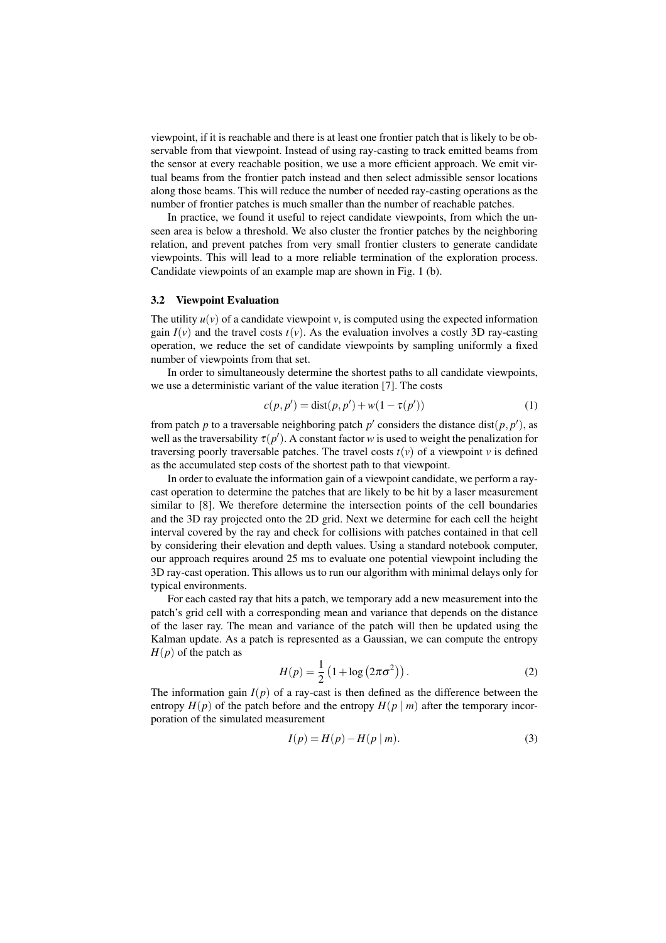viewpoint, if it is reachable and there is at least one frontier patch that is likely to be observable from that viewpoint. Instead of using ray-casting to track emitted beams from the sensor at every reachable position, we use a more efficient approach. We emit virtual beams from the frontier patch instead and then select admissible sensor locations along those beams. This will reduce the number of needed ray-casting operations as the number of frontier patches is much smaller than the number of reachable patches.

In practice, we found it useful to reject candidate viewpoints, from which the unseen area is below a threshold. We also cluster the frontier patches by the neighboring relation, and prevent patches from very small frontier clusters to generate candidate viewpoints. This will lead to a more reliable termination of the exploration process. Candidate viewpoints of an example map are shown in Fig. 1 (b).

#### 3.2 Viewpoint Evaluation

The utility  $u(v)$  of a candidate viewpoint *v*, is computed using the expected information gain  $I(v)$  and the travel costs  $t(v)$ . As the evaluation involves a costly 3D ray-casting operation, we reduce the set of candidate viewpoints by sampling uniformly a fixed number of viewpoints from that set.

In order to simultaneously determine the shortest paths to all candidate viewpoints, we use a deterministic variant of the value iteration [7]. The costs

$$
c(p, p') = dist(p, p') + w(1 - \tau(p')) \tag{1}
$$

from patch *p* to a traversable neighboring patch *p'* considers the distance dist(*p*, *p'*), as well as the traversability  $\tau(p')$ . A constant factor *w* is used to weight the penalization for traversing poorly traversable patches. The travel costs  $t(v)$  of a viewpoint v is defined as the accumulated step costs of the shortest path to that viewpoint.

In order to evaluate the information gain of a viewpoint candidate, we perform a raycast operation to determine the patches that are likely to be hit by a laser measurement similar to [8]. We therefore determine the intersection points of the cell boundaries and the 3D ray projected onto the 2D grid. Next we determine for each cell the height interval covered by the ray and check for collisions with patches contained in that cell by considering their elevation and depth values. Using a standard notebook computer, our approach requires around 25 ms to evaluate one potential viewpoint including the 3D ray-cast operation. This allows us to run our algorithm with minimal delays only for typical environments.

For each casted ray that hits a patch, we temporary add a new measurement into the patch's grid cell with a corresponding mean and variance that depends on the distance of the laser ray. The mean and variance of the patch will then be updated using the Kalman update. As a patch is represented as a Gaussian, we can compute the entropy  $H(p)$  of the patch as

$$
H(p) = \frac{1}{2} \left( 1 + \log \left( 2\pi \sigma^2 \right) \right). \tag{2}
$$

The information gain  $I(p)$  of a ray-cast is then defined as the difference between the entropy  $H(p)$  of the patch before and the entropy  $H(p \mid m)$  after the temporary incorporation of the simulated measurement

$$
I(p) = H(p) - H(p \mid m).
$$
 (3)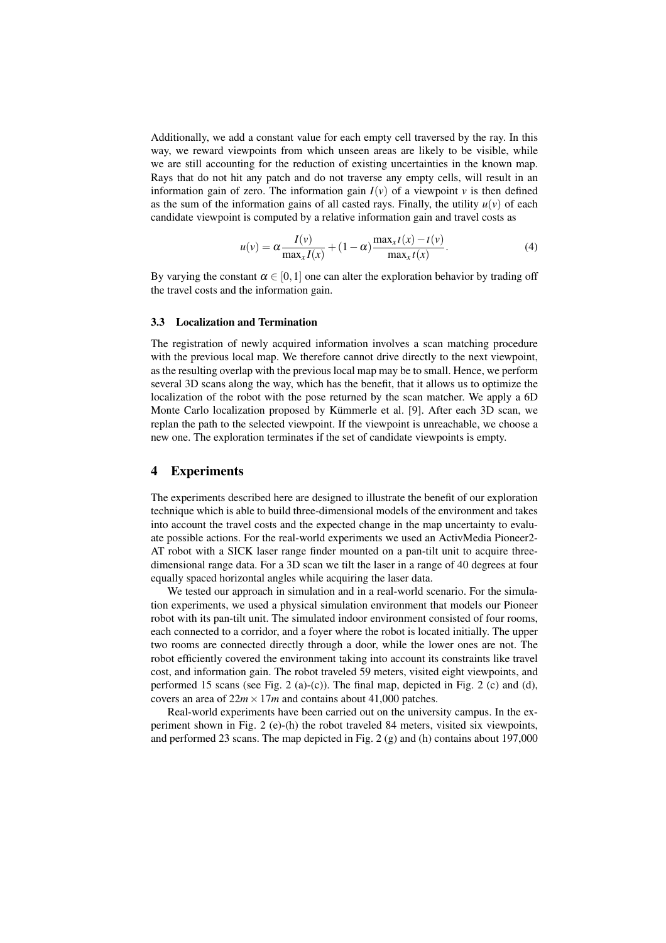Additionally, we add a constant value for each empty cell traversed by the ray. In this way, we reward viewpoints from which unseen areas are likely to be visible, while we are still accounting for the reduction of existing uncertainties in the known map. Rays that do not hit any patch and do not traverse any empty cells, will result in an information gain of zero. The information gain  $I(v)$  of a viewpoint v is then defined as the sum of the information gains of all casted rays. Finally, the utility  $u(v)$  of each candidate viewpoint is computed by a relative information gain and travel costs as

$$
u(v) = \alpha \frac{I(v)}{\max_x I(x)} + (1 - \alpha) \frac{\max_x t(x) - t(v)}{\max_x t(x)}.
$$
 (4)

By varying the constant  $\alpha \in [0,1]$  one can alter the exploration behavior by trading off the travel costs and the information gain.

#### 3.3 Localization and Termination

The registration of newly acquired information involves a scan matching procedure with the previous local map. We therefore cannot drive directly to the next viewpoint, as the resulting overlap with the previous local map may be to small. Hence, we perform several 3D scans along the way, which has the benefit, that it allows us to optimize the localization of the robot with the pose returned by the scan matcher. We apply a 6D Monte Carlo localization proposed by Kümmerle et al. [9]. After each 3D scan, we replan the path to the selected viewpoint. If the viewpoint is unreachable, we choose a new one. The exploration terminates if the set of candidate viewpoints is empty.

#### 4 Experiments

The experiments described here are designed to illustrate the benefit of our exploration technique which is able to build three-dimensional models of the environment and takes into account the travel costs and the expected change in the map uncertainty to evaluate possible actions. For the real-world experiments we used an ActivMedia Pioneer2- AT robot with a SICK laser range finder mounted on a pan-tilt unit to acquire threedimensional range data. For a 3D scan we tilt the laser in a range of 40 degrees at four equally spaced horizontal angles while acquiring the laser data.

We tested our approach in simulation and in a real-world scenario. For the simulation experiments, we used a physical simulation environment that models our Pioneer robot with its pan-tilt unit. The simulated indoor environment consisted of four rooms, each connected to a corridor, and a foyer where the robot is located initially. The upper two rooms are connected directly through a door, while the lower ones are not. The robot efficiently covered the environment taking into account its constraints like travel cost, and information gain. The robot traveled 59 meters, visited eight viewpoints, and performed 15 scans (see Fig. 2 (a)-(c)). The final map, depicted in Fig. 2 (c) and (d), covers an area of  $22m \times 17m$  and contains about 41,000 patches.

Real-world experiments have been carried out on the university campus. In the experiment shown in Fig. 2 (e)-(h) the robot traveled 84 meters, visited six viewpoints, and performed 23 scans. The map depicted in Fig. 2 (g) and (h) contains about 197,000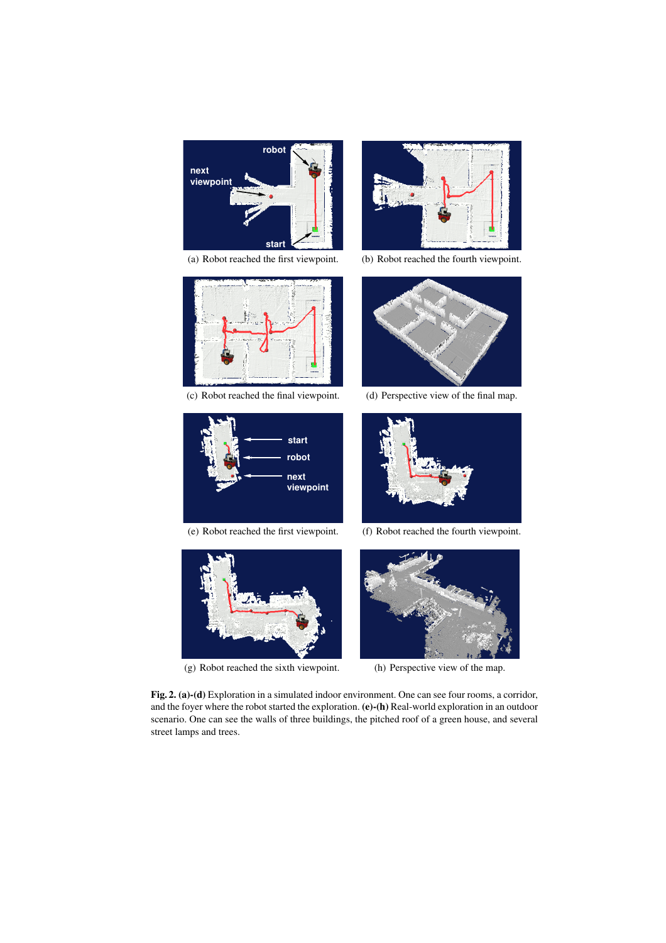

(a) Robot reached the first viewpoint. (b) Robot reached the fourth viewpoint.











(c) Robot reached the final viewpoint. (d) Perspective view of the final map.



(e) Robot reached the first viewpoint. (f) Robot reached the fourth viewpoint.



(g) Robot reached the sixth viewpoint. (h) Perspective view of the map.

Fig. 2. (a)-(d) Exploration in a simulated indoor environment. One can see four rooms, a corridor, and the foyer where the robot started the exploration. (e)-(h) Real-world exploration in an outdoor scenario. One can see the walls of three buildings, the pitched roof of a green house, and several street lamps and trees.